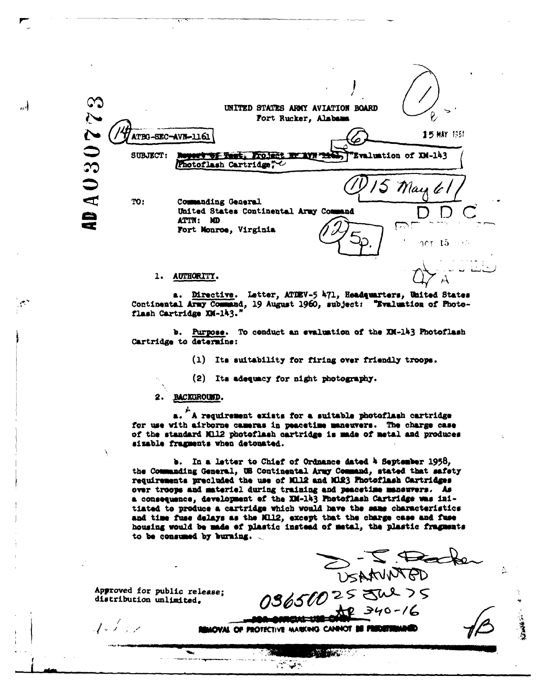

a. Directive. Letter, ATDEV-5 471, Headquarters, United States Continental Army Command, 19 August 1960, subject: "Evaluation of Photoflash Cartridge XM-143."

b. Purpose. To conduct an evaluation of the XM-143 Photoflash Cartridge to determine:

(1) Its suitability for firing over friendly troops.

(2) Its adequacy for night photography.

2. BACKGROUND.

احمد

a. "A requirement exists for a suitable photoflash cartridge for use with airborne cameras in peacetime maneuvers. The charge case of the standard M112 photoflash cartridge is made of metal and produces sizable fragments when detonated.

b. In a letter to Chief of Ordnance dated A September 1958, the Commanding General, UE Continental Army Command, stated that safety requirements precluded the use of Mil2 and Mi23 Photoflash Cartridges over troops and material during training and peacetime maneuvers. As a consequence, development of the XM-143 Photoflash Cartridge was initiated to produce a cartridge which would have the same characteristics and time fuse delays as the RI12, except that the charge case and fuse housing would be made of plastic instead of metal, the plastic fragments to be consumed by burning.  $\sim$ 

Approved for public release; distribution unlimited.

 $A \not\mapsto A$ 

OS650025 JUSAMINTED

不好 的复数重新

Minic 11 **IMOVAL OF PROTECTIVE MARKING CANNOT BE PREDETERMINED** 

أبلاقها أتراد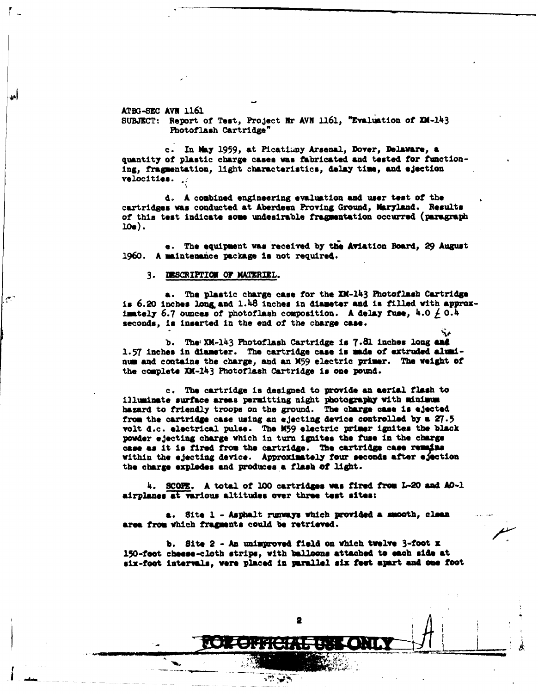**ATBG-SEC AVN 1161 SUBJECT:** Report of Test, Project Nr **AVN 1161,** "Eval ation **of** XK-143 Photoflash Cartridge"

c. In May 1959, at Picatimny Arsenal, Dover, Delaware, a quantity of plastic charge cases **was** fabricated **and** tested for functioning, fragmentation, light characteristics, **delay time,** and ejection velocities.

**d.** A combined engineering evaluation **and** user test of the cartridges **was** conducted at Aberdeen Proving Ground, Ibryland. Results of this test indicate some undesirable fragmentation occurred (paragraph **1e).**

e. The equipment was received **by the** Aviation Board, 29 August 1960. A anintenance **package Is** not required.

## 3. 3SCRIPTION **OF** MATERIEL.

أعنف

**a. The** plastic charge case for the XK-143 Photoflash Cartridge is **6.20 inches lon& and** 1.48 inches in diameter **and** is filled with **approx**imately  $6.7$  ounces of photoflash composition. A delay fuse,  $4.0 \neq 0.4$ **seconds, is inserted in the end of the charge case.**

**b.** The, X-143 Photoflash Cartridge is **7.81** inches long **and 1.57** Inches in diameter. The cartridge **case is** made **of** extruded **&Ilnum** and contains the charge, and **an M59** electric **primer.** The weight **of** the complete XM-143 Photoflash Cartridge is one pound.

**c.** The cartridge is designed to provide **an** aerial **flash** to iluninate **surface** areas permitting night photogmpay with minimum hazard to friendly troops on the ground. The charge **case** is ejected from the cartride case using an ejecting device controlled **by** a **27.5** volt d.c. electrical **pulse.** The K59 electric primer ignites the **black** powder ejecting charge which in turn **ignites the** fuse in the charge **case as** it **is fired** from the cartridge. The cartridge **case remn~:s** within **the ejecting device. Approxitely** four **seconds after** e\$aetion **the** charge **explodes** and **produces a flash of** light.

4. **SCOE.** A total of **100 cartridges was fired** frm **L-20 ad AO-1** airplanes at various altitudes over three test sites:

**a. Site 1 - Asphalt ruqways which provided a smooth, clean** area from which fragments could be retrieved.

**b.** Site 2 **- An** unimproved field on which tvelve 3-foot **X** 150-foot cheese-cloth strips, with **balloons attached to each side at six-foot** Intervals, **were** placed in paral1el **six feet asprt** and me **foot**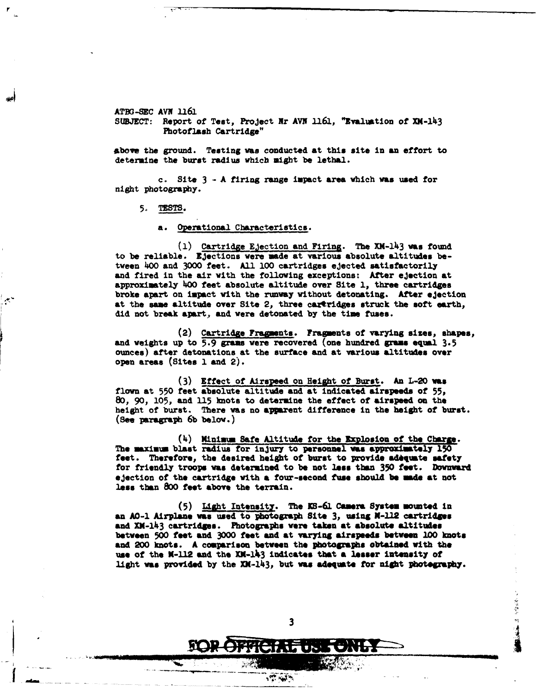ATBG-SEC AVN **1161**

**SUBJECT:** Report of Test, Project Nr **AVN** 1161, "Evaluation **of** X14-143 Photoflash Cartridge"

**abowe** the ground. Testing was conducted at this **site** in an effort to determine the burst radius which might **be** lethal.

c. Site **3 -** A firing range impact **area** which **was** used for night photography.

**5. TESTS.**

a. Operational Characteristics.

**(1)** Cartridge Ejection and Firing. The **XM-143 was** found to be reliable. Ejections were made at various absolute altitudes **be**tween 400 **and 3000** feet. **All 100** cartridges ejected satisfactorily and fired in the air with the following exceptions: After ejection at approximately 400 feet absolute altitude over Site **1,** three cartridges broke **apart** on impact with the runway without detonating. After ejection at the same altitude over Site 2, three caxtridges struck the soft earth, **did** not break apart, and were detonated **by** the time fuses.

(2) Cartridge **Fragments.** Fragments of varying sizes, **shapes, and** weights up to **5.9** gras were recovered (one hundred grams **equal 3.5** ounces) after detonations at the **surface** and at various altitudes **over** open areas (Sites **1** and 2).

**(3)** Effect of Airspeed on Height of Burst. An L-20 **vas flown** at **550** feet absolute altitude and at indicated airspeeds **of** 55, **80, 90, 105,** and 15 knots to determine the effect of **airspeed on** the height of burst. There was no apprent difference in the height of burst. **(see** paragraph **6b** below.)

(4) Minima Safe Altitude for the Explosion of **the** Chare. **The maxiuma** blast radius for injury to personnel **vas approximately 150** feet. Therefore, the desired **height** of **burst** to provide adqute **safety** for friendly troops **was** determined to be not **less** than **350** feet. **Downva** ejection of the **cartridge** with **a four-second fuse should be made at** not **less** than **800** feet **above** the terrain.

**(5) LAht** Intensity. The **IM-61** Camera System **mounted** in **an AO-i Airplane was** used to **hoitogrph** Site **3,** using **N-12 cartridses and** XM-lI3 **cartridges. Photographs were taken at absolute altitudes between 500** feet **and 3000** feet and **at varying airspeeds** between **100 knots and 200 knots. A comparison between** the **photographs obtained** with **the use of** the **K-112 and the** XK-l43 **indicates** that **a** lesser **Intensity of** light was provided by the XM-143, but was adequate for night photegraphy.

 $\overline{\mathbf{3}}$ 

 $197.437$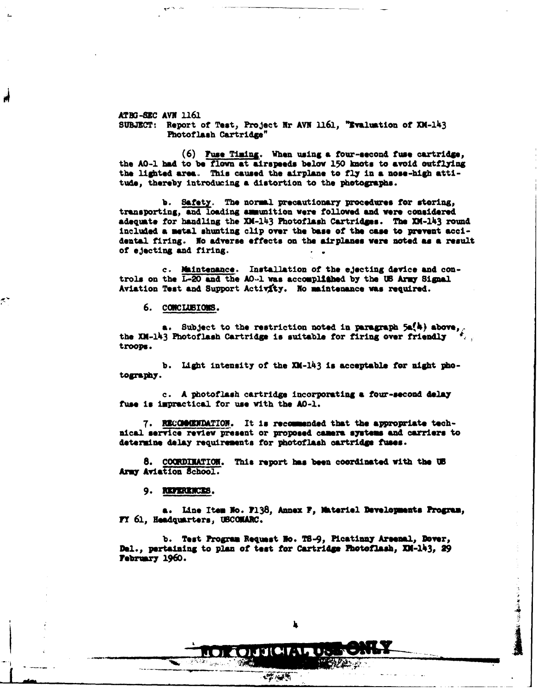*ATEG* SZC **AVN** 1161 SUBJECT: Report of Test, Project Nr AVN 1161, "Evaluation of XM-143 Photoflash Cartridge"

**(6) Fuse** Tiaing, When using **a** four-second fuse cartridse, the **AO-1 had** to **be** flown at airspeeds **below 150** knots to avoid outflylng the lighted area. This caused the airplane to fly in **a nose-high** attitude, thereby introducing **a** distortion to the photographs.

**b.** Safety. The normal precautionary procedures for storing, transporting, and loading smunition were followed and **were** considered adequste for handling the XM-I43 Photoflash Cartridges. The XK-143 round included **a metal** shunting clip over the **base** of the **case** to prevent accidental firing. **No** adverse effects on the airplanes were noted **as a** result of ejecting and firing.

c. Maintenance. Installation **of** the ejecting device and controls on the L-20 **and** the **AO-1 was** accomplifhed **by** the **US** Army Sigal Aviation Test and Support Activty. No mintenance **was** required.

**6. COCILBIONS.**

۸Ņ

**a.** Subject to the restriction noted in paragraph **5&%)** above,. the **XK-l43** Photoflash Cartridge is suitable for firing over friendly *,* troops.

**b. Ilght** intensity **of** the XM-1I3 is acceptable for night **pho**tography.

c. **A** photoflash cartridge incorporating **a** four-second **delay** fuse is impractical for use with the **A0-1.**

7. R3CNN0UDATI0J. It **is** recommended that **the** appropriate technical service review present or proposed camers systems **and** carriers to determine **delay** requirements for photoflash oartridge fuses.

**8. C0MDIZATION.** This report has been coordinated with the **95** Army Aviation School.

**9. REFERENCES.** 

**a.** Line Item No. **7138,** Annex F, lktriel Developments Progma, FY 61, Headquarters, USCOMARC.

b. Test Program Request No. TS-9, Picatinny Arsenal, Dover, Del., pertaining to plan of test for Cartridge Photoflash, XM-143, 29 **Yebruary 1960.**

OIJJ(<del>M</del>TAP

 $100 - 100$ 

**b. a. a. a.** *a.* **<b>a. a. a. a. a.**